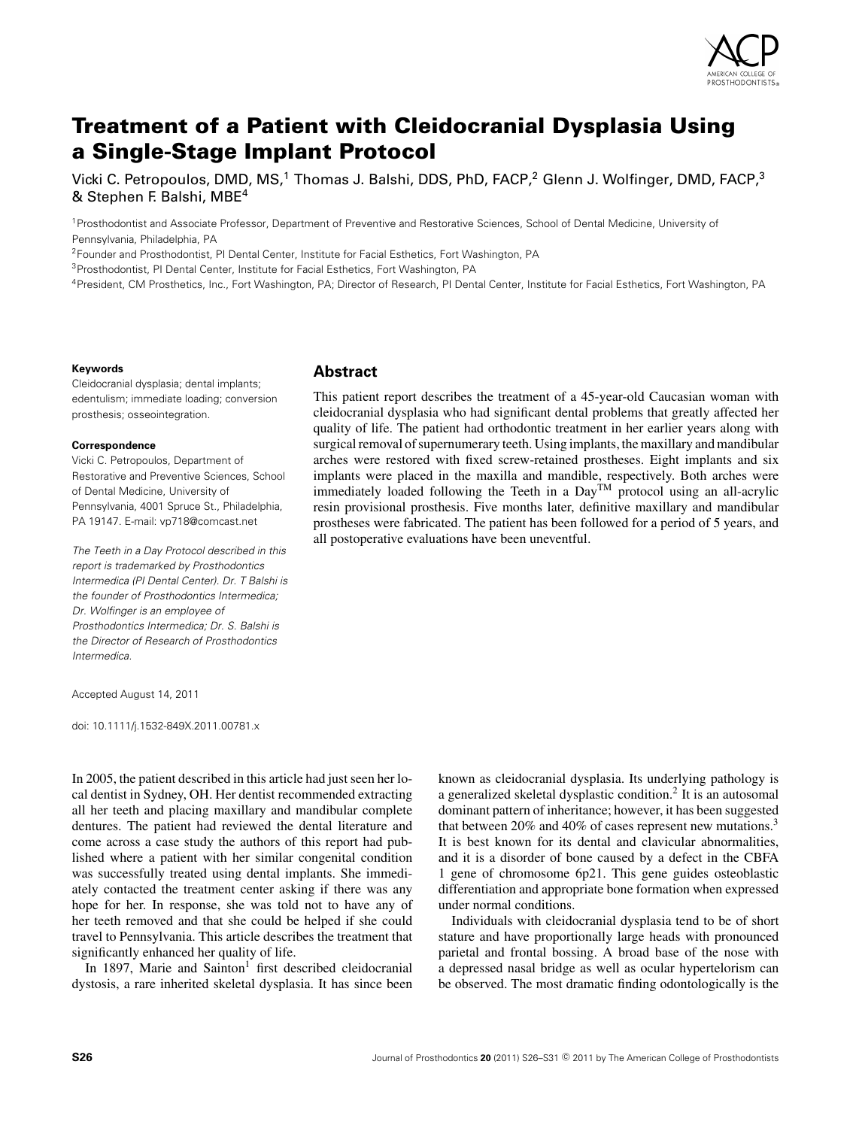

# **Treatment of a Patient with Cleidocranial Dysplasia Using a Single-Stage Implant Protocol**

Vicki C. Petropoulos, DMD, MS,<sup>1</sup> Thomas J. Balshi, DDS, PhD, FACP,<sup>2</sup> Glenn J. Wolfinger, DMD, FACP,<sup>3</sup> & Stephen F. Balshi, MBE4

<sup>1</sup> Prosthodontist and Associate Professor, Department of Preventive and Restorative Sciences, School of Dental Medicine, University of Pennsylvania, Philadelphia, PA

2Founder and Prosthodontist, PI Dental Center, Institute for Facial Esthetics, Fort Washington, PA

3Prosthodontist, PI Dental Center, Institute for Facial Esthetics, Fort Washington, PA

4President, CM Prosthetics, Inc., Fort Washington, PA; Director of Research, PI Dental Center, Institute for Facial Esthetics, Fort Washington, PA

#### **Keywords**

Cleidocranial dysplasia; dental implants; edentulism; immediate loading; conversion prosthesis; osseointegration.

#### **Correspondence**

Vicki C. Petropoulos, Department of Restorative and Preventive Sciences, School of Dental Medicine, University of Pennsylvania, 4001 Spruce St., Philadelphia, PA 19147. E-mail: vp718@comcast.net

*The Teeth in a Day Protocol described in this report is trademarked by Prosthodontics Intermedica (PI Dental Center). Dr. T Balshi is the founder of Prosthodontics Intermedica; Dr. Wolfinger is an employee of Prosthodontics Intermedica; Dr. S. Balshi is the Director of Research of Prosthodontics Intermedica.*

Accepted August 14, 2011

doi: 10.1111/j.1532-849X.2011.00781.x

In 2005, the patient described in this article had just seen her local dentist in Sydney, OH. Her dentist recommended extracting all her teeth and placing maxillary and mandibular complete dentures. The patient had reviewed the dental literature and come across a case study the authors of this report had published where a patient with her similar congenital condition was successfully treated using dental implants. She immediately contacted the treatment center asking if there was any hope for her. In response, she was told not to have any of her teeth removed and that she could be helped if she could travel to Pennsylvania. This article describes the treatment that significantly enhanced her quality of life.

In 1897, Marie and Sainton<sup>1</sup> first described cleidocranial dystosis, a rare inherited skeletal dysplasia. It has since been

# **Abstract**

This patient report describes the treatment of a 45-year-old Caucasian woman with cleidocranial dysplasia who had significant dental problems that greatly affected her quality of life. The patient had orthodontic treatment in her earlier years along with surgical removal of supernumerary teeth. Using implants, the maxillary and mandibular arches were restored with fixed screw-retained prostheses. Eight implants and six implants were placed in the maxilla and mandible, respectively. Both arches were immediately loaded following the Teeth in a  $Day^{TM}$  protocol using an all-acrylic resin provisional prosthesis. Five months later, definitive maxillary and mandibular prostheses were fabricated. The patient has been followed for a period of 5 years, and all postoperative evaluations have been uneventful.

> known as cleidocranial dysplasia. Its underlying pathology is a generalized skeletal dysplastic condition.2 It is an autosomal dominant pattern of inheritance; however, it has been suggested that between 20% and 40% of cases represent new mutations.<sup>3</sup> It is best known for its dental and clavicular abnormalities, and it is a disorder of bone caused by a defect in the CBFA 1 gene of chromosome 6p21. This gene guides osteoblastic differentiation and appropriate bone formation when expressed under normal conditions.

> Individuals with cleidocranial dysplasia tend to be of short stature and have proportionally large heads with pronounced parietal and frontal bossing. A broad base of the nose with a depressed nasal bridge as well as ocular hypertelorism can be observed. The most dramatic finding odontologically is the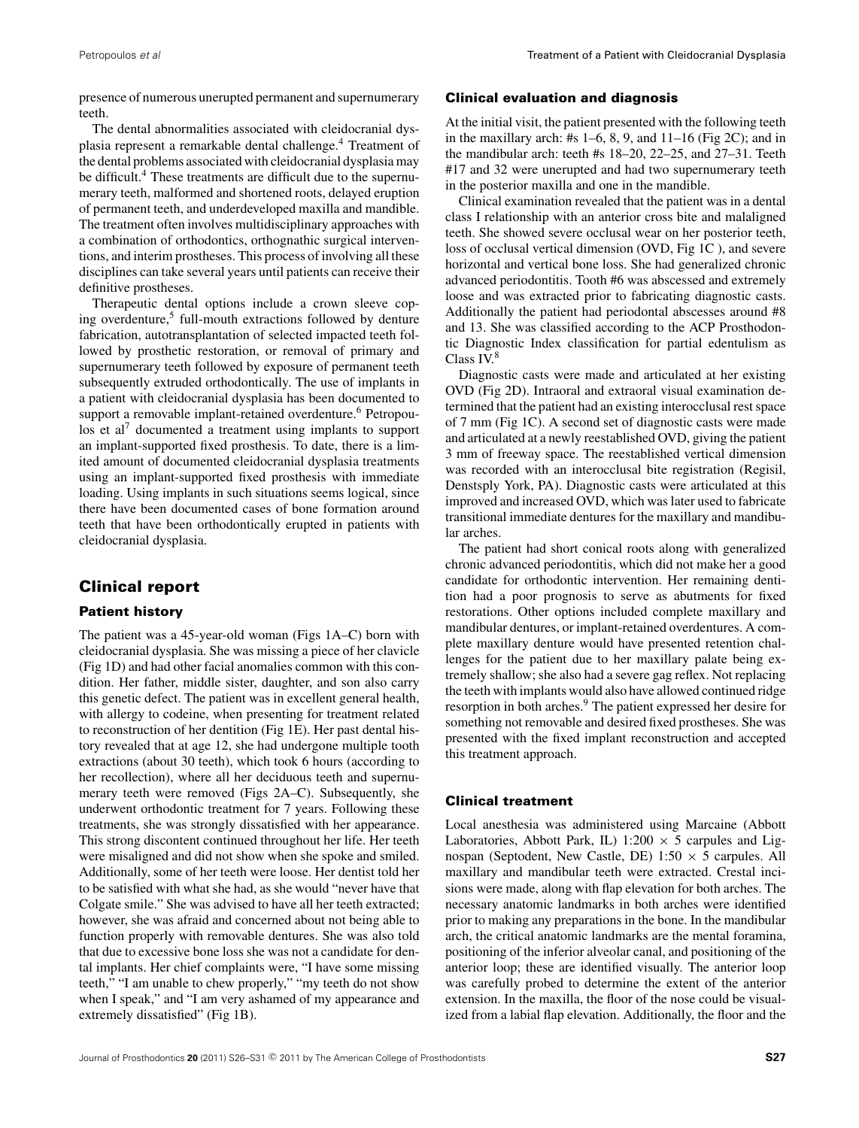presence of numerous unerupted permanent and supernumerary teeth.

The dental abnormalities associated with cleidocranial dysplasia represent a remarkable dental challenge.4 Treatment of the dental problems associated with cleidocranial dysplasia may be difficult.<sup>4</sup> These treatments are difficult due to the supernumerary teeth, malformed and shortened roots, delayed eruption of permanent teeth, and underdeveloped maxilla and mandible. The treatment often involves multidisciplinary approaches with a combination of orthodontics, orthognathic surgical interventions, and interim prostheses. This process of involving all these disciplines can take several years until patients can receive their definitive prostheses.

Therapeutic dental options include a crown sleeve coping overdenture,<sup>5</sup> full-mouth extractions followed by denture fabrication, autotransplantation of selected impacted teeth followed by prosthetic restoration, or removal of primary and supernumerary teeth followed by exposure of permanent teeth subsequently extruded orthodontically. The use of implants in a patient with cleidocranial dysplasia has been documented to support a removable implant-retained overdenture.<sup>6</sup> Petropoulos et al<sup>7</sup> documented a treatment using implants to support an implant-supported fixed prosthesis. To date, there is a limited amount of documented cleidocranial dysplasia treatments using an implant-supported fixed prosthesis with immediate loading. Using implants in such situations seems logical, since there have been documented cases of bone formation around teeth that have been orthodontically erupted in patients with cleidocranial dysplasia.

# **Clinical report**

#### **Patient history**

The patient was a 45-year-old woman (Figs 1A–C) born with cleidocranial dysplasia. She was missing a piece of her clavicle (Fig 1D) and had other facial anomalies common with this condition. Her father, middle sister, daughter, and son also carry this genetic defect. The patient was in excellent general health, with allergy to codeine, when presenting for treatment related to reconstruction of her dentition (Fig 1E). Her past dental history revealed that at age 12, she had undergone multiple tooth extractions (about 30 teeth), which took 6 hours (according to her recollection), where all her deciduous teeth and supernumerary teeth were removed (Figs 2A–C). Subsequently, she underwent orthodontic treatment for 7 years. Following these treatments, she was strongly dissatisfied with her appearance. This strong discontent continued throughout her life. Her teeth were misaligned and did not show when she spoke and smiled. Additionally, some of her teeth were loose. Her dentist told her to be satisfied with what she had, as she would "never have that Colgate smile." She was advised to have all her teeth extracted; however, she was afraid and concerned about not being able to function properly with removable dentures. She was also told that due to excessive bone loss she was not a candidate for dental implants. Her chief complaints were, "I have some missing teeth," "I am unable to chew properly," "my teeth do not show when I speak," and "I am very ashamed of my appearance and extremely dissatisfied" (Fig 1B).

### **Clinical evaluation and diagnosis**

At the initial visit, the patient presented with the following teeth in the maxillary arch:  $#s$  1–6, 8, 9, and 11–16 (Fig 2C); and in the mandibular arch: teeth #s 18–20, 22–25, and 27–31. Teeth #17 and 32 were unerupted and had two supernumerary teeth in the posterior maxilla and one in the mandible.

Clinical examination revealed that the patient was in a dental class I relationship with an anterior cross bite and malaligned teeth. She showed severe occlusal wear on her posterior teeth, loss of occlusal vertical dimension (OVD, Fig 1C), and severe horizontal and vertical bone loss. She had generalized chronic advanced periodontitis. Tooth #6 was abscessed and extremely loose and was extracted prior to fabricating diagnostic casts. Additionally the patient had periodontal abscesses around #8 and 13. She was classified according to the ACP Prosthodontic Diagnostic Index classification for partial edentulism as Class IV.<sup>8</sup>

Diagnostic casts were made and articulated at her existing OVD (Fig 2D). Intraoral and extraoral visual examination determined that the patient had an existing interocclusal rest space of 7 mm (Fig 1C). A second set of diagnostic casts were made and articulated at a newly reestablished OVD, giving the patient 3 mm of freeway space. The reestablished vertical dimension was recorded with an interocclusal bite registration (Regisil, Denstsply York, PA). Diagnostic casts were articulated at this improved and increased OVD, which was later used to fabricate transitional immediate dentures for the maxillary and mandibular arches.

The patient had short conical roots along with generalized chronic advanced periodontitis, which did not make her a good candidate for orthodontic intervention. Her remaining dentition had a poor prognosis to serve as abutments for fixed restorations. Other options included complete maxillary and mandibular dentures, or implant-retained overdentures. A complete maxillary denture would have presented retention challenges for the patient due to her maxillary palate being extremely shallow; she also had a severe gag reflex. Not replacing the teeth with implants would also have allowed continued ridge resorption in both arches.9 The patient expressed her desire for something not removable and desired fixed prostheses. She was presented with the fixed implant reconstruction and accepted this treatment approach.

#### **Clinical treatment**

Local anesthesia was administered using Marcaine (Abbott Laboratories, Abbott Park, IL) 1:200  $\times$  5 carpules and Lignospan (Septodent, New Castle, DE)  $1:50 \times 5$  carpules. All maxillary and mandibular teeth were extracted. Crestal incisions were made, along with flap elevation for both arches. The necessary anatomic landmarks in both arches were identified prior to making any preparations in the bone. In the mandibular arch, the critical anatomic landmarks are the mental foramina, positioning of the inferior alveolar canal, and positioning of the anterior loop; these are identified visually. The anterior loop was carefully probed to determine the extent of the anterior extension. In the maxilla, the floor of the nose could be visualized from a labial flap elevation. Additionally, the floor and the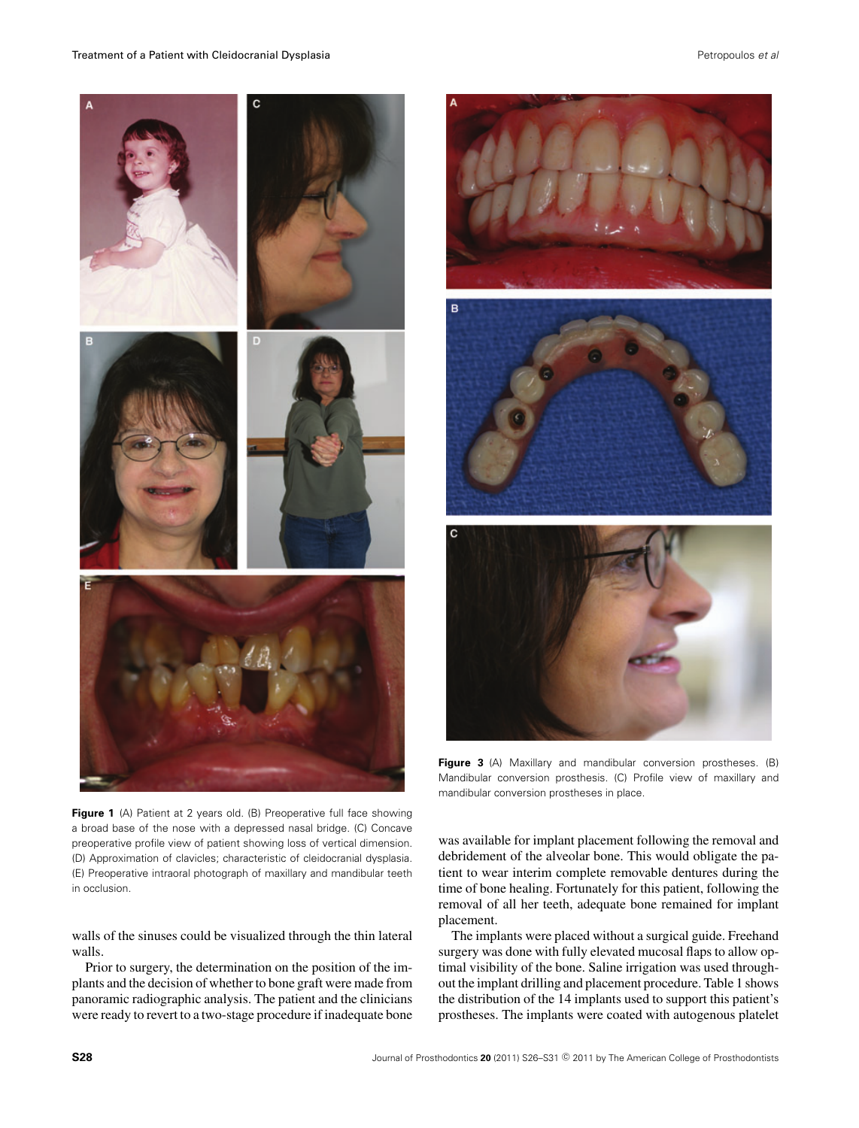



**Figure 3** (A) Maxillary and mandibular conversion prostheses. (B) Mandibular conversion prosthesis. (C) Profile view of maxillary and mandibular conversion prostheses in place.

**Figure 1** (A) Patient at 2 years old. (B) Preoperative full face showing a broad base of the nose with a depressed nasal bridge. (C) Concave preoperative profile view of patient showing loss of vertical dimension. (D) Approximation of clavicles; characteristic of cleidocranial dysplasia. (E) Preoperative intraoral photograph of maxillary and mandibular teeth in occlusion.

walls of the sinuses could be visualized through the thin lateral walls.

Prior to surgery, the determination on the position of the implants and the decision of whether to bone graft were made from panoramic radiographic analysis. The patient and the clinicians were ready to revert to a two-stage procedure if inadequate bone

was available for implant placement following the removal and debridement of the alveolar bone. This would obligate the patient to wear interim complete removable dentures during the time of bone healing. Fortunately for this patient, following the removal of all her teeth, adequate bone remained for implant placement.

The implants were placed without a surgical guide. Freehand surgery was done with fully elevated mucosal flaps to allow optimal visibility of the bone. Saline irrigation was used throughout the implant drilling and placement procedure. Table 1 shows the distribution of the 14 implants used to support this patient's prostheses. The implants were coated with autogenous platelet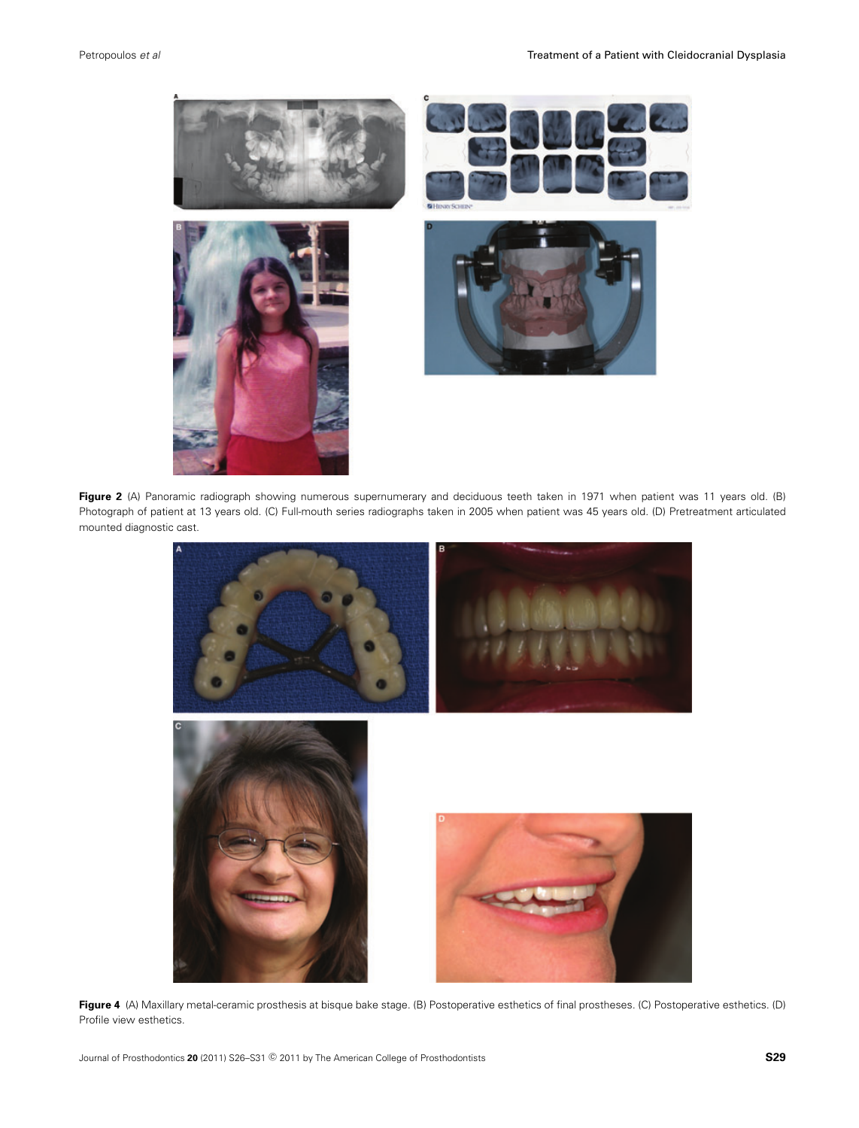

Figure 2 (A) Panoramic radiograph showing numerous supernumerary and deciduous teeth taken in 1971 when patient was 11 years old. (B) Photograph of patient at 13 years old. (C) Full-mouth series radiographs taken in 2005 when patient was 45 years old. (D) Pretreatment articulated mounted diagnostic cast.



**Figure 4** (A) Maxillary metal-ceramic prosthesis at bisque bake stage. (B) Postoperative esthetics of final prostheses. (C) Postoperative esthetics. (D) Profile view esthetics.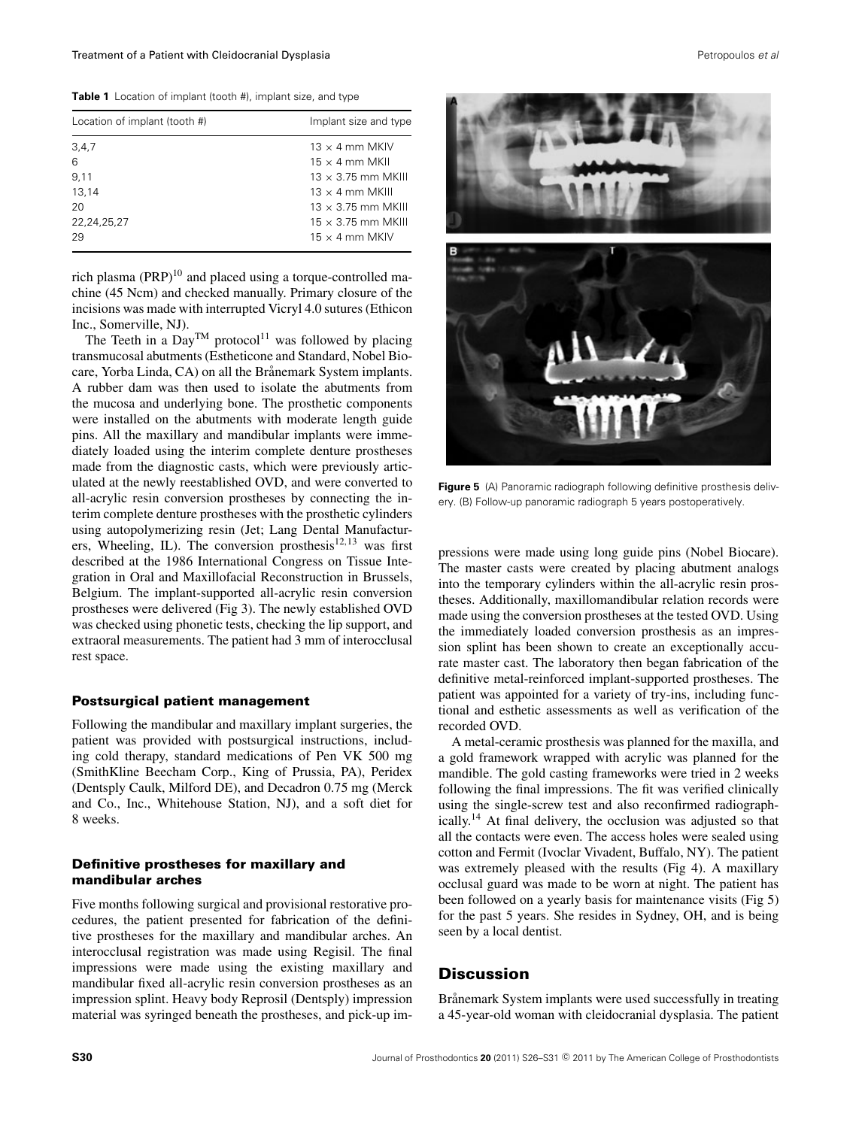**Table 1** Location of implant (tooth #), implant size, and type

| Location of implant (tooth #) | Implant size and type     |
|-------------------------------|---------------------------|
| 3,4,7                         | $13 \times 4$ mm MKIV     |
| 6                             | $15 \times 4$ mm MKII     |
| 9,11                          | $13 \times 3.75$ mm MKIII |
| 13,14                         | $13 \times 4$ mm MKIII    |
| 20                            | $13 \times 3.75$ mm MKIII |
| 22, 24, 25, 27                | $15 \times 3.75$ mm MKIII |
| 29                            | $15 \times 4$ mm MKIV     |
|                               |                           |

rich plasma  $(PRP)^{10}$  and placed using a torque-controlled machine (45 Ncm) and checked manually. Primary closure of the incisions was made with interrupted Vicryl 4.0 sutures (Ethicon Inc., Somerville, NJ).

The Teeth in a  $Day^{TM}$  protocol<sup>11</sup> was followed by placing transmucosal abutments (Estheticone and Standard, Nobel Biocare, Yorba Linda, CA) on all the Brånemark System implants. A rubber dam was then used to isolate the abutments from the mucosa and underlying bone. The prosthetic components were installed on the abutments with moderate length guide pins. All the maxillary and mandibular implants were immediately loaded using the interim complete denture prostheses made from the diagnostic casts, which were previously articulated at the newly reestablished OVD, and were converted to all-acrylic resin conversion prostheses by connecting the interim complete denture prostheses with the prosthetic cylinders using autopolymerizing resin (Jet; Lang Dental Manufacturers, Wheeling, IL). The conversion prosthesis<sup>12,13</sup> was first described at the 1986 International Congress on Tissue Integration in Oral and Maxillofacial Reconstruction in Brussels, Belgium. The implant-supported all-acrylic resin conversion prostheses were delivered (Fig 3). The newly established OVD was checked using phonetic tests, checking the lip support, and extraoral measurements. The patient had 3 mm of interocclusal rest space.

## **Postsurgical patient management**

Following the mandibular and maxillary implant surgeries, the patient was provided with postsurgical instructions, including cold therapy, standard medications of Pen VK 500 mg (SmithKline Beecham Corp., King of Prussia, PA), Peridex (Dentsply Caulk, Milford DE), and Decadron 0.75 mg (Merck and Co., Inc., Whitehouse Station, NJ), and a soft diet for 8 weeks.

## **Definitive prostheses for maxillary and mandibular arches**

Five months following surgical and provisional restorative procedures, the patient presented for fabrication of the definitive prostheses for the maxillary and mandibular arches. An interocclusal registration was made using Regisil. The final impressions were made using the existing maxillary and mandibular fixed all-acrylic resin conversion prostheses as an impression splint. Heavy body Reprosil (Dentsply) impression material was syringed beneath the prostheses, and pick-up im-



**Figure 5** (A) Panoramic radiograph following definitive prosthesis delivery. (B) Follow-up panoramic radiograph 5 years postoperatively.

pressions were made using long guide pins (Nobel Biocare). The master casts were created by placing abutment analogs into the temporary cylinders within the all-acrylic resin prostheses. Additionally, maxillomandibular relation records were made using the conversion prostheses at the tested OVD. Using the immediately loaded conversion prosthesis as an impression splint has been shown to create an exceptionally accurate master cast. The laboratory then began fabrication of the definitive metal-reinforced implant-supported prostheses. The patient was appointed for a variety of try-ins, including functional and esthetic assessments as well as verification of the recorded OVD.

A metal-ceramic prosthesis was planned for the maxilla, and a gold framework wrapped with acrylic was planned for the mandible. The gold casting frameworks were tried in 2 weeks following the final impressions. The fit was verified clinically using the single-screw test and also reconfirmed radiographically.<sup>14</sup> At final delivery, the occlusion was adjusted so that all the contacts were even. The access holes were sealed using cotton and Fermit (Ivoclar Vivadent, Buffalo, NY). The patient was extremely pleased with the results (Fig 4). A maxillary occlusal guard was made to be worn at night. The patient has been followed on a yearly basis for maintenance visits (Fig 5) for the past 5 years. She resides in Sydney, OH, and is being seen by a local dentist.

## **Discussion**

Brånemark System implants were used successfully in treating a 45-year-old woman with cleidocranial dysplasia. The patient